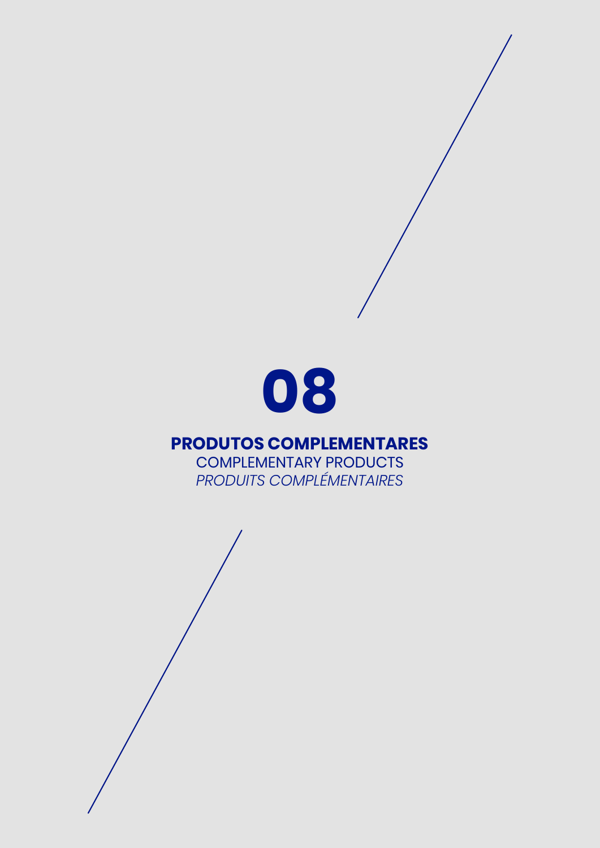

### **PRODUTOS COMPLEMENTARES**

COMPLEMENTARY PRODUCTS *PRODUITS COMPLÉMENTAIRES*

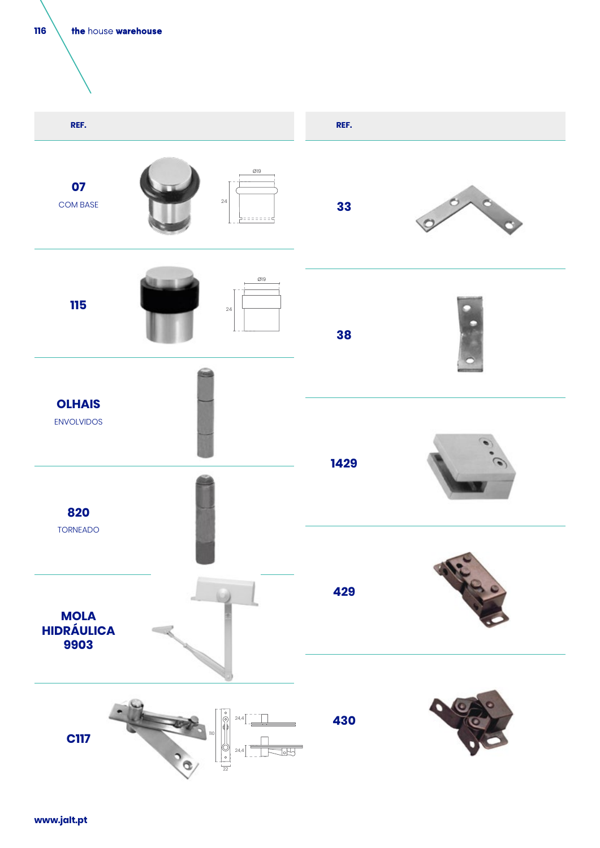



**www.jalt.pt**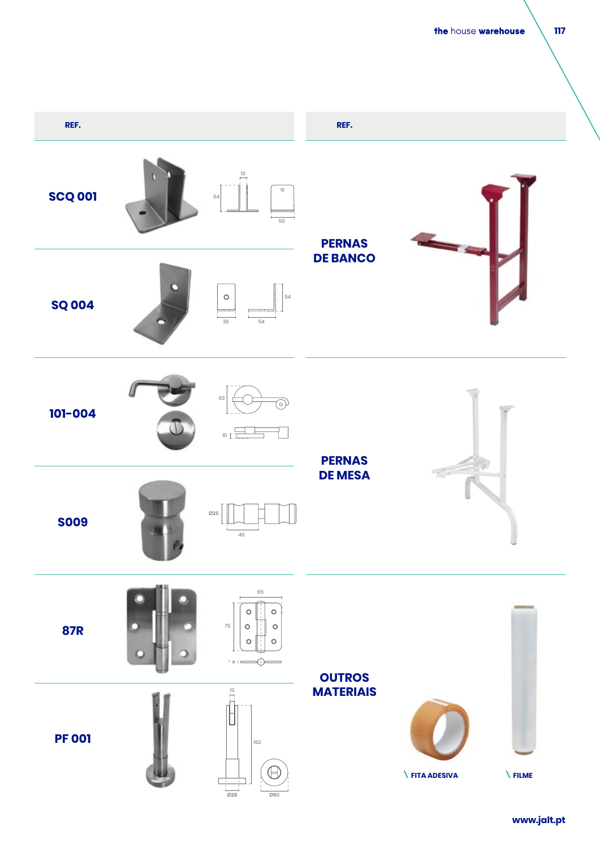the house warehouse

#### **117**

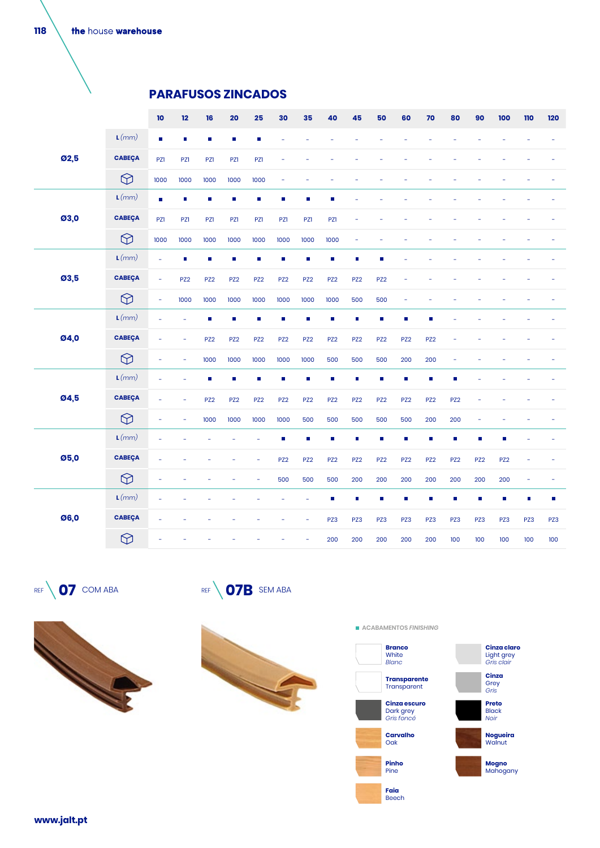the house warehouse

### **PARAFUSOS ZINCADOS**

|      |                  | $\mathbf{10}$            | 12                       | 16                       | 20              | 25              | 30              | 35                       | 40                          | 45              | 50                       | 60                       | 70                       | 80              | 90              | 100             | 110            | 120 |
|------|------------------|--------------------------|--------------------------|--------------------------|-----------------|-----------------|-----------------|--------------------------|-----------------------------|-----------------|--------------------------|--------------------------|--------------------------|-----------------|-----------------|-----------------|----------------|-----|
|      | L(mm)            | $\Box$                   | П                        | $\Box$                   | $\Box$          | Ē,              |                 |                          |                             |                 |                          |                          |                          |                 |                 |                 |                |     |
| 02,5 | <b>CABEÇA</b>    | PZ1                      | PZ1                      | PZ1                      | <b>PZ1</b>      | <b>PZ1</b>      |                 |                          |                             |                 |                          |                          |                          |                 |                 |                 |                |     |
|      | $\bigcirc$       | 1000                     | 1000                     | 1000                     | 1000            | 1000            |                 |                          |                             |                 |                          |                          |                          |                 |                 |                 |                |     |
|      | $\mathbf{L}(mm)$ | п                        | П                        | П                        | $\Box$          | Ē.              | п               | $\overline{\phantom{a}}$ | T.                          |                 |                          |                          |                          |                 |                 |                 |                |     |
| 03,0 | <b>CABEÇA</b>    | <b>PZ1</b>               | PZ1                      | <b>PZ1</b>               | PZ1             | <b>PZ1</b>      | PZ1             | PZ1                      | PZ1                         |                 |                          |                          |                          |                 |                 |                 |                |     |
|      | $\bigcirc$       | 1000                     | 1000                     | 1000                     | 1000            | 1000            | 1000            | 1000                     | 1000                        | ÷,              |                          |                          |                          |                 |                 |                 |                |     |
| 03,5 | $\mathbf{L}(mm)$ | ÷.                       | П                        | П                        | $\Box$          | $\Box$          | П               | п                        | $\mathbb{Z}^2$              | п               |                          |                          |                          |                 |                 |                 |                |     |
|      | <b>CABEÇA</b>    | ÷,                       | PZ <sub>2</sub>          | PZ <sub>2</sub>          | PZ <sub>2</sub> | PZ <sub>2</sub> | PZ <sub>2</sub> | PZ <sub>2</sub>          | PZ <sub>2</sub>             | PZ <sub>2</sub> | PZ <sub>2</sub>          | ٠                        |                          |                 |                 |                 |                |     |
|      | $\bigcirc$       | $\overline{\phantom{a}}$ | 1000                     | 1000                     | 1000            | 1000            | 1000            | 1000                     | 1000                        | 500             | 500                      | $\overline{\phantom{a}}$ |                          |                 |                 |                 |                |     |
|      | $\mathbf{L}(mm)$ |                          |                          | Ē,                       | Ē,              | Ē,              | $\blacksquare$  | $\blacksquare$           | П                           | П               | П                        | п                        | Ē,                       |                 |                 |                 |                |     |
| 04,0 | <b>CABEÇA</b>    |                          | ٠                        | PZ <sub>2</sub>          | PZ <sub>2</sub> | PZ <sub>2</sub> | PZ <sub>2</sub> | PZ <sub>2</sub>          | PZ <sub>2</sub>             | PZ <sub>2</sub> | PZ <sub>2</sub>          | PZ <sub>2</sub>          | PZ <sub>2</sub>          |                 |                 |                 |                |     |
|      | $\bigcirc$       | ٠                        | $\overline{\phantom{a}}$ | 1000                     | 1000            | 1000            | 1000            | 1000                     | 500                         | 500             | 500                      | 200                      | 200                      |                 |                 |                 |                |     |
|      | $\mathbf{L}(mm)$ |                          |                          | $\overline{\phantom{a}}$ | Ē,              | Ē.              | m,              | $\blacksquare$           | $\mathbb{Z}^2$              | Ē,              | $\overline{\phantom{a}}$ | $\blacksquare$           | $\overline{\phantom{a}}$ | г               |                 |                 |                |     |
| 04,5 | <b>CABEÇA</b>    |                          |                          | PZ <sub>2</sub>          | PZ <sub>2</sub> | PZ <sub>2</sub> | PZ <sub>2</sub> | PZ <sub>2</sub>          | PZ <sub>2</sub>             | PZ <sub>2</sub> | PZ <sub>2</sub>          | PZ <sub>2</sub>          | PZ <sub>2</sub>          | PZ <sub>2</sub> |                 |                 |                |     |
|      | $\bigcirc$       | ÷,                       | $\overline{\phantom{a}}$ | 1000                     | 1000            | 1000            | 1000            | 500                      | 500                         | 500             | 500                      | 500                      | 200                      | 200             | ÷               |                 |                |     |
|      | L(mm)            |                          |                          |                          |                 |                 | п               | $\blacksquare$           | г                           | г               | <b>Tal</b>               | П                        | г                        | T.              | $\Box$          | п               |                |     |
| 05,0 | <b>CABEÇA</b>    |                          |                          |                          |                 |                 | PZ <sub>2</sub> | PZ <sub>2</sub>          | PZ <sub>2</sub>             | PZ <sub>2</sub> | PZ <sub>2</sub>          | PZ <sub>2</sub>          | PZ <sub>2</sub>          | PZ <sub>2</sub> | PZ <sub>2</sub> | PZ <sub>2</sub> |                |     |
|      | $\bigcirc$       |                          |                          |                          |                 | L               | 500             | 500                      | 500                         | 200             | 200                      | 200                      | 200                      | 200             | 200             | 200             | ÷              |     |
|      | L(mm)            |                          |                          |                          |                 |                 |                 | ÷,                       | $\mathcal{L}_{\mathcal{A}}$ | п               | п                        | п                        | Ē,                       | T.              | m,              | $\blacksquare$  | $\blacksquare$ | T.  |
| Ø6,0 | <b>CABEÇA</b>    |                          |                          |                          |                 |                 |                 |                          | PZ3                         | PZ3             | PZ3                      | PZ3                      | PZ3                      | PZ3             | PZ3             | PZ3             | PZ3            | PZ3 |
|      | $\bigcirc$       |                          |                          |                          |                 |                 |                 |                          | 200                         | 200             | 200                      | 200                      | 200                      | 100             | 100             | 100             | 100            | 100 |

REF **07** COM ABA REF **07B** SEM ABA









**118**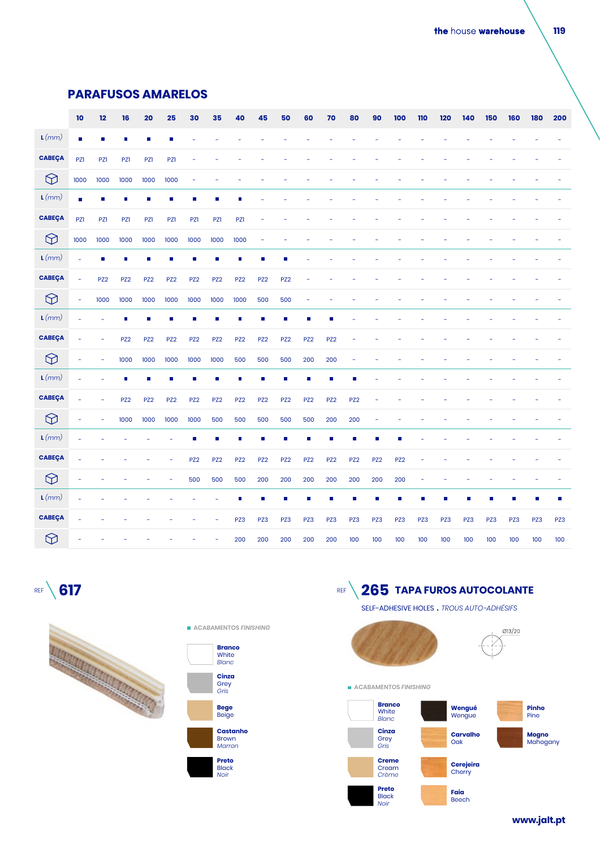#### **PARAFUSOS AMARELOS**

|                  | $\mathbf{10}$  | 12              | ${\bf 16}$      | 20              | 25              | 30              | 35              | 40              | 45                          | 50              | 60                       | 70              | 80              | 90              | 100             | 110 | 120 | 140 | 150 | 160 | 180 | 200 |
|------------------|----------------|-----------------|-----------------|-----------------|-----------------|-----------------|-----------------|-----------------|-----------------------------|-----------------|--------------------------|-----------------|-----------------|-----------------|-----------------|-----|-----|-----|-----|-----|-----|-----|
| L(mm)            | $\blacksquare$ |                 |                 |                 |                 |                 |                 |                 |                             |                 |                          |                 |                 |                 |                 |     |     |     |     |     |     |     |
| <b>CABEÇA</b>    | PZ1            | PZ1             | PZ1             | PZ1             | PZ1             | ۰               |                 |                 |                             |                 |                          |                 |                 |                 |                 |     |     |     |     |     |     |     |
| $\bigotimes$     | 1000           | 1000            | 1000            | 1000            | 1000            | Ē,              |                 |                 |                             |                 |                          |                 |                 |                 |                 |     |     |     |     |     |     |     |
| $\mathbf{L}(mm)$ | $\blacksquare$ | г               | T.              | п               | г               | T.              | п               | г               |                             |                 |                          |                 |                 |                 |                 |     |     |     |     |     |     |     |
| <b>CABEÇA</b>    | PZ1            | PZ1             | PZ1             | PZ1             | PZ1             | <b>PZ1</b>      | PZ1             | <b>PZ1</b>      |                             |                 |                          |                 |                 |                 |                 |     |     |     |     |     |     |     |
| $\bigcirc$       | 1000           | 1000            | 1000            | 1000            | 1000            | 1000            | 1000            | 1000            |                             |                 |                          |                 |                 |                 |                 |     |     |     |     |     |     |     |
| L(mm)            | L,             | г               | п               | п               | г               | T.              | П               | <b>I</b>        | Г                           |                 |                          |                 |                 |                 |                 |     |     |     |     |     |     |     |
| <b>CABEÇA</b>    | ÷              | PZ <sub>2</sub> | PZ <sub>2</sub> | PZ <sub>2</sub> | PZ <sub>2</sub> | PZ <sub>2</sub> | PZ <sub>2</sub> | PZ <sub>2</sub> | PZ <sub>2</sub>             | PZ <sub>2</sub> |                          |                 |                 |                 |                 |     |     |     |     |     |     |     |
| $\bigotimes$     | ÷,             | 1000            | 1000            | 1000            | 1000            | 1000            | 1000            | 1000            | 500                         | 500             | $\overline{\phantom{a}}$ |                 |                 |                 |                 |     |     |     |     |     |     |     |
| $\mathbf{L}(mm)$ |                |                 | T.              | П               | П               | Ē,              | Ē,              | П               | $\mathcal{L}_{\mathcal{A}}$ | П               | п                        |                 |                 |                 |                 |     |     |     |     |     |     |     |
| <b>CABEÇA</b>    | ä,             |                 | PZ <sub>2</sub> | PZ <sub>2</sub> | PZ <sub>2</sub> | PZ <sub>2</sub> | PZ <sub>2</sub> | PZ <sub>2</sub> | PZ <sub>2</sub>             | PZ <sub>2</sub> | PZ <sub>2</sub>          | PZ <sub>2</sub> |                 |                 |                 |     |     |     |     |     |     |     |
| $\bigcirc$       | ÷              | ÷               | 1000            | 1000            | 1000            | 1000            | 1000            | 500             | 500                         | 500             | 200                      | 200             | ٠               |                 |                 |     |     |     |     |     |     |     |
| $\mathbf{L}(mm)$ |                |                 |                 |                 |                 | г               | п               | <b>I</b>        |                             | ٦               | П                        |                 | г               |                 |                 |     |     |     |     |     |     |     |
| <b>CABEÇA</b>    | ä,             |                 | PZ <sub>2</sub> | PZ <sub>2</sub> | PZ <sub>2</sub> | PZ <sub>2</sub> | PZ <sub>2</sub> | PZ <sub>2</sub> | PZ <sub>2</sub>             | PZ <sub>2</sub> | PZ <sub>2</sub>          | PZ <sub>2</sub> | PZ <sub>2</sub> |                 |                 |     |     |     |     |     |     |     |
| $\bigotimes$     | ÷,             | ÷               | 1000            | 1000            | 1000            | 1000            | 500             | 500             | 500                         | 500             | 500                      | 200             | 200             | ٠               |                 |     |     |     |     |     |     |     |
| $\mathbf{L}(mm)$ |                |                 |                 |                 |                 | T.              | П               | <b>I</b>        | г                           | ۰               | п                        | г               | Ē,              |                 |                 |     |     |     |     |     |     |     |
| <b>CABEÇA</b>    |                |                 |                 |                 |                 | PZ <sub>2</sub> | PZ <sub>2</sub> | PZ <sub>2</sub> | PZ <sub>2</sub>             | PZ <sub>2</sub> | PZ <sub>2</sub>          | PZ <sub>2</sub> | PZ <sub>2</sub> | PZ <sub>2</sub> | PZ <sub>2</sub> |     |     |     |     |     |     |     |
| $\bigotimes$     | Ē,             |                 |                 |                 | ÷               | 500             | 500             | 500             | 200                         | 200             | 200                      | 200             | 200             | 200             | 200             | ÷   |     |     |     |     |     |     |
| L(mm)            |                |                 |                 |                 |                 |                 | Ĺ.              | <b>I</b>        | г                           | п               | п                        | П               | $\Box$          | г               | П               | п   |     | П   | п   | T.  | п   | п   |
| <b>CABEÇA</b>    |                |                 |                 |                 |                 |                 |                 | PZ3             | PZ3                         | PZ3             | PZ3                      | PZ3             | PZ3             | PZ3             | PZ3             | PZ3 | PZ3 | PZ3 | PZ3 | PZ3 | PZ3 | PZ3 |
| $\bigcirc$       |                |                 |                 |                 |                 |                 |                 | 200             | 200                         | 200             | 200                      | 200             | 100             | 100             | 100             | 100 | 100 | 100 | 100 | 100 | 100 | 100 |









SELF-ADHESIVE HOLES **.** *TROUS AUTO-ADHÉSIFS*



**www.jalt.pt www.jalt.pt**